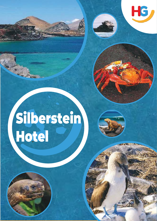# Silberstein Hotel

HG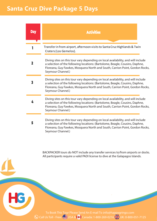## **Santa Cruz Dive Package 5 Days**

| <b>Day</b> | <b>Activities</b>                                                                                                                                                                                                                                                     |
|------------|-----------------------------------------------------------------------------------------------------------------------------------------------------------------------------------------------------------------------------------------------------------------------|
|            |                                                                                                                                                                                                                                                                       |
|            | Transfer in from airport, afternoon visits to Santa Cruz Highlands & Twin<br>Craters (Los Gemelos).                                                                                                                                                                   |
|            | Diving sites on this tour vary depending on local availability, and will include<br>a selection of the following locations: (Bartolome, Beagle, Cousins, Daphne,<br>Floreana, Guy Fawkes, Mosquera North and South, Carrion Point, Gordon Rocks,<br>Seymour Channel.) |
| 3          | Diving sites on this tour vary depending on local availability, and will include<br>a selection of the following locations: (Bartolome, Beagle, Cousins, Daphne,<br>Floreana, Guy Fawkes, Mosquera North and South, Carrion Point, Gordon Rocks,<br>Seymour Channel.) |
|            | Diving sites on this tour vary depending on local availability, and will include<br>a selection of the following locations: (Bartolome, Beagle, Cousins, Daphne,<br>Floreana, Guy Fawkes, Mosquera North and South, Carrion Point, Gordon Rocks,<br>Seymour Channel.) |
| 5          | Diving sites on this tour vary depending on local availability, and will include<br>a selection of the following locations: (Bartolome, Beagle, Cousins, Daphne,<br>Floreana, Guy Fawkes, Mosquera North and South, Carrion Point, Gordon Rocks,<br>Seymour Channel.) |

BACKPACKER tours do NOT include any transfer services to/from airports or docks. All participants require a valid PADI license to dive at the Galapagos Islands.

To Book This Tour Please Send An E-mail To info@happygringo.com Call Us Toll - Free: USA & Canada: 1-800-269-0216 Call Us Toll - Free: USA & Canada: 1-800-269-0216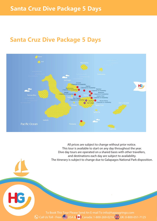## **Santa Cruz Dive Package 5 Days**



All prices are subject to change without prior notice. This tour is available to start on any day throughout the year. Dive day tours are operated on a shared basis with other travellers, and destinations each day are subject to availability. The itinerary is subject to change due to Galapagos National Park disposition.

To Book This Tour Please Send An E-mail To info@happygringo.com Call Us Toll - Free: USA & Canada: 1-800-269-0216